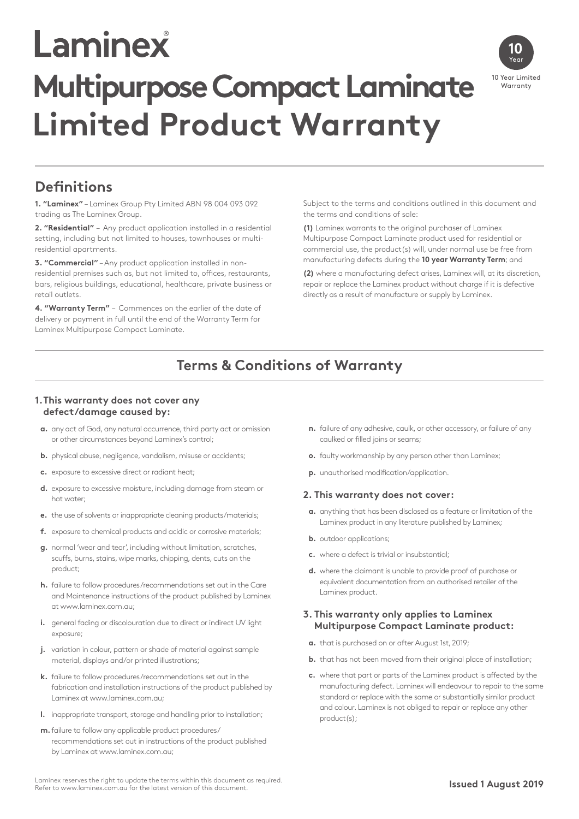# Laminex **Multipurpose Compact Laminate Limited Product Warranty**



## **Definitions**

**1. "Laminex"** – Laminex Group Pty Limited ABN 98 004 093 092 trading as The Laminex Group.

**2. "Residential"** – Any product application installed in a residential setting, including but not limited to houses, townhouses or multiresidential apartments.

**3. "Commercial"** – Any product application installed in nonresidential premises such as, but not limited to, offices, restaurants, bars, religious buildings, educational, healthcare, private business or retail outlets.

**4. "Warranty Term"** – Commences on the earlier of the date of delivery or payment in full until the end of the Warranty Term for Laminex Multipurpose Compact Laminate.

Subject to the terms and conditions outlined in this document and the terms and conditions of sale:

**(1)** Laminex warrants to the original purchaser of Laminex Multipurpose Compact Laminate product used for residential or commercial use, the product(s) will, under normal use be free from manufacturing defects during the **10 year Warranty Term**; and

**(2)** where a manufacturing defect arises, Laminex will, at its discretion, repair or replace the Laminex product without charge if it is defective directly as a result of manufacture or supply by Laminex.

## **Terms & Conditions of Warranty**

#### **1.This warranty does not cover any defect/damage caused by:**

- **a.** any act of God, any natural occurrence, third party act or omission or other circumstances beyond Laminex's control;
- **b.** physical abuse, negligence, vandalism, misuse or accidents;
- **c.** exposure to excessive direct or radiant heat;
- **d.** exposure to excessive moisture, including damage from steam or hot water;
- **e.** the use of solvents or inappropriate cleaning products/materials;
- **f.** exposure to chemical products and acidic or corrosive materials;
- **g.** normal 'wear and tear', including without limitation, scratches, scuffs, burns, stains, wipe marks, chipping, dents, cuts on the product;
- **h.** failure to follow procedures/recommendations set out in the Care and Maintenance instructions of the product published by Laminex at www.laminex.com.au;
- **i.** general fading or discolouration due to direct or indirect UV light exposure;
- **j.** variation in colour, pattern or shade of material against sample material, displays and/or printed illustrations;
- **k.** failure to follow procedures/recommendations set out in the fabrication and installation instructions of the product published by Laminex at www.laminex.com.au;
- **l.** inappropriate transport, storage and handling prior to installation;
- **m.**failure to follow any applicable product procedures/ recommendations set out in instructions of the product published by Laminex at www.laminex.com.au;
- **n.** failure of any adhesive, caulk, or other accessory, or failure of any caulked or filled joins or seams;
- **o.** faulty workmanship by any person other than Laminex;
- **p.** unauthorised modification/application.

#### **2. This warranty does not cover:**

- **a.** anything that has been disclosed as a feature or limitation of the Laminex product in any literature published by Laminex;
- **b.** outdoor applications;
- **c.** where a defect is trivial or insubstantial;
- **d.** where the claimant is unable to provide proof of purchase or equivalent documentation from an authorised retailer of the Laminex product.

#### **3. This warranty only applies to Laminex Multipurpose Compact Laminate product:**

- **a.** that is purchased on or after August 1st, 2019;
- **b.** that has not been moved from their original place of installation;
- **c.** where that part or parts of the Laminex product is affected by the manufacturing defect. Laminex will endeavour to repair to the same standard or replace with the same or substantially similar product and colour. Laminex is not obliged to repair or replace any other product(s);